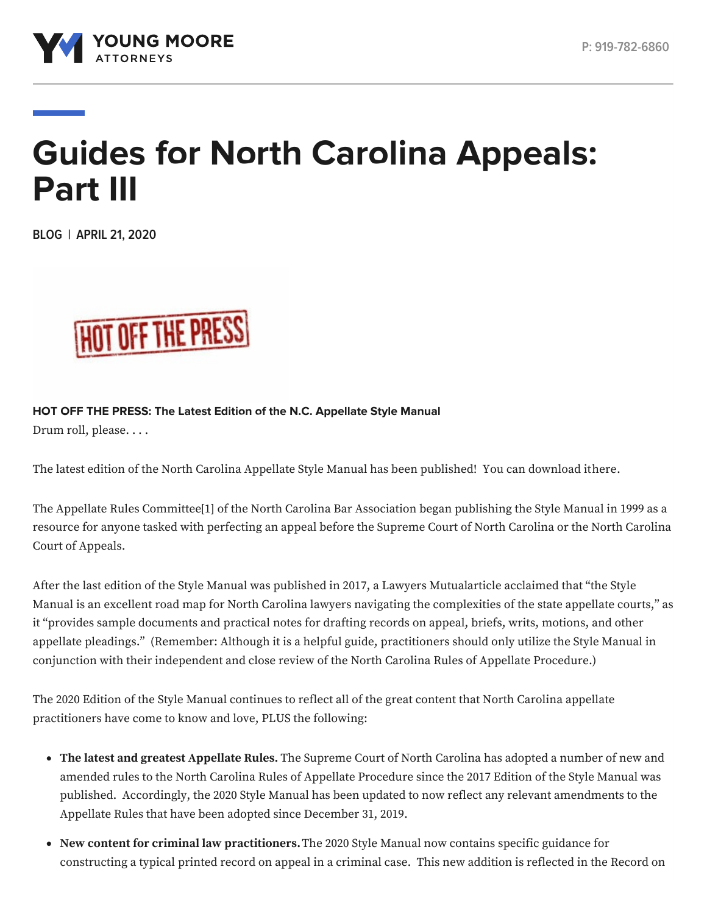

# **Guides for North Carolina Appeals: Part III**

**BLOG | APRIL 21, 2020**



**HOT OFF THE PRESS: The Latest Edition of the N.C. Appellate Style Manual** Drum roll, please. . . .

The latest edition of the North Carolina Appellate Style Manual has been published! You can download i[there](https://www.ncbar.org/members/committees/appellate-rules/).

<span id="page-0-0"></span>The Appellate Rules Committe[e\[1\]](#page-1-0) of the North Carolina Bar Association began publishing the Style Manual in 1999 as a resource for anyone tasked with perfecting an appeal before the Supreme Court of North Carolina or the North Carolina Court of Appeals.

After the last edition of the Style Manual was published in 2017, a Lawyers Mutua[larticle](https://www.lawyersmutualnc.com/risk-management-resources/articles/updated-appellate-style-manual-is-better-than-ever) acclaimed that "the Style Manual is an excellent road map for North Carolina lawyers navigating the complexities of the state appellate courts," as it "provides sample documents and practical notes for drafting records on appeal, briefs, writs, motions, and other appellate pleadings." (Remember: Although it is a helpful guide, practitioners should only utilize the Style Manual in conjunction with their independent and close review of the North Carolina Rules of Appellate Procedure.)

The 2020 Edition of the Style Manual continues to reflect all of the great content that North Carolina appellate practitioners have come to know and love, PLUS the following:

- **The latest and greatest Appellate Rules.** The Supreme Court of North Carolina has adopted a number of new and amended rules to the North Carolina Rules of Appellate Procedure since the 2017 Edition of the Style Manual was published. Accordingly, the 2020 Style Manual has been updated to now reflect any relevant amendments to the Appellate Rules that have been adopted since December 31, 2019.
- **New content for criminal law practitioners.**The 2020 Style Manual now contains specific guidance for constructing a typical printed record on appeal in a criminal case. This new addition is reflected in the Record on